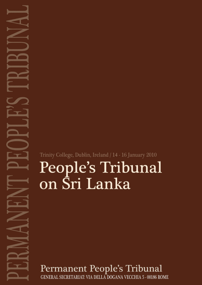Trinity College, Dublin, Ireland / 14 - 16 January 2010

# People's Tribunal<br>on Sri Lanka

Permanent People's Tribunal GENERAL SECRETARIAT: VIA DELLA DOGANA VECCHIA 5 - 00186 ROME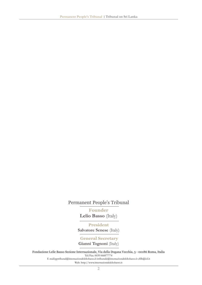Permanent People's Tribunal

Founder

Lelio Basso (Italy)

President Salvatore Senese (Italy)

#### General Secretary

Gianni Tognoni (Italy)

Fondazione Leile Basso Sezione Internazionale, Via della Dogana Vecchia, 5 - 00186 Roma, Italia Tel/Fax: 0039 066877774

E-mail:pptribunal@internazionaleleliobasso.it tribunale@internazionaleleliobasso.it filb@iol.it Web: http://www.internazionaleleliobasso.it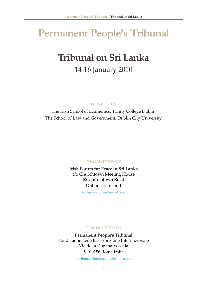# Permanent People's Tribunal

# Tribunal on Sri Lanka

# 14-16 January 2010

#### HOSTED BY

The Irish School of Ecumenics, Trinity College Dublin The School of Law and Government, Dublin City University

#### ORGANIZED BY

Irish Forum for Peace in Sri Lanka c/o Churchtown Meeting House 82 Churchtown Road Dublin 14, Ireland

irishpeaceforum@gmail.com

#### CONDUCTED BY

Permanent People's Tribunal Fondazione Leile Basso Sezione Internazionale Via della Dogana Vecchia 5 - 00186 Roma Italia

pptribunal@internazionaleleliobasso.it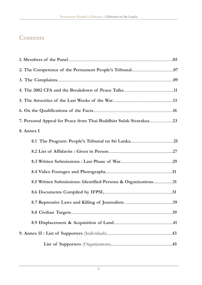# **Contents**

| 7. Personal Appeal for Peace from Thai Buddhist Sulak Sivaraksa23 |  |
|-------------------------------------------------------------------|--|
| 8. Annex I                                                        |  |
|                                                                   |  |
|                                                                   |  |
|                                                                   |  |
|                                                                   |  |
| 8.5 Written Submissions: Identified Persons & Organizations31     |  |
|                                                                   |  |
|                                                                   |  |
|                                                                   |  |
|                                                                   |  |
|                                                                   |  |
|                                                                   |  |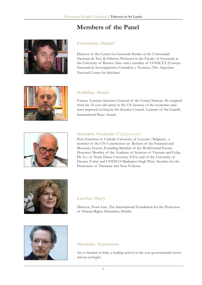# Members of the Panel



#### Feierstein, Daniel

Director of the Centre for Genocide Studies at the Universidad Nacional de Tres de Febrero, Professor in the Faculty of Genocide at the University of Buenos Aires and a member of CONICET (Consejo Nacional de Investigaciones Cientificas y Tecnicas, (The Argentine National Center for Scholars).



#### Halliday, Denis

Former Assistant Secretary-General of the United Nations. He resigned from his 34 year old career in the UN because of the economic sanctions imposed on Iraq by the Security Council. Laureate of the Gandhi International Peace Award.



#### Houtart, François (Chairperson)

Prof. Emeritus of Catholic University of Louvain ( Belgium), a member of the UN Commission on Reform of the Financial and Monetary System, Founding Member of the World Social Forum, Honorary Member of the Academy of Sciences of Vietnam and Cuba, Dr. h.c. of Notre Dame University (USA) and of the University of Havana (Cuba) and UNESCO-Madanjeet Singh Prize Awardee for the Promotion of Tolerance and Non-Violence



#### Lawlor, Mary

Director, Front Line, The International Foundation for the Protection of Human Rights Defenders, Dublin.



#### Martone, Francesco

An ex-Senator in Italy, a leading activist in the non-governmental sector and an ecologist.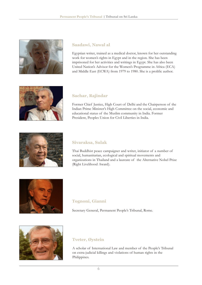



Egyptian writer, trained as a medical doctor, known for her outstanding work for women's rights in Egypt and in the region. She has been imprisoned for her activities and writings in Egypt. She has also been United Nation's Advisor for the Women's Programme in Africa (ECA) and Middle East (ECWA) from 1979 to 1980. She is a prolific author.





#### Sachar, Rajindar

Former Chief Justice, High Court of Delhi and the Chairperson of the Indian Prime Minister's High Committee on the social, economic and educational status of the Muslim community in India. Former President, Peoples Union for Civil Liberties in India.

#### Sivaraksa, Sulak

Thai Buddhist peace campaigner and writer, initiator of a number of social, humanitarian, ecological and spiritual movements and organizations in Thailand and a laureate of the Alternative Nobel Prize (Right Livelihood Award).



#### Tognoni, Gianni

Secretary General, Permanent People's Tribunal, Rome.



#### Tveter, Øystein

A scholar of International Law and member of the People's Tribunal on extra-judicial killings and violations of human rights in the Philippines.

6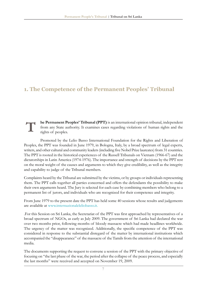# 1. The Competence of the Permanent Peoples' Tribunal

T

he Permanent Peoples' Tribunal (PPT) is an international opinion tribunal, independent from any State authority. It examines cases regarding violations of human rights and the rights of peoples.

Promoted by the Lelio Basso International Foundation for the Rights and Liberation of Peoples, the PPT was founded in June 1979, in Bologna, Italy, by a broad spectrum of legal experts, writers, and other cultural and community leaders (including five Nobel Prize laureates) from 31 countries. The PPT is rooted in the historical experiences of the Russell Tribunals on Vietnam (1966-67) and the dictatorships in Latin America (1974-1976). The importance and strength of decisions by the PPT rest on the moral weight of the causes and arguments to which they give credibility, as well as the integrity and capability to judge of the Tribunal members.

Complaints heard by the Tribunal are submitted by the victims, or by groups or individuals representing them. The PPT calls together all parties concerned and offers the defendants the possibility to make their own arguments heard. The Jury is selected for each case by combining members who belong to a permanent list of jurors, and individuals who are recognized for their competence and integrity.

From June 1979 to the present date the PPT has held some 40 sessions whose results and judgements are available at www.internazionaleleliobasso.it.

.For this Session on Sri Lanka, the Secretariat of the PPT was first approached by representatives of a broad spectrum of NGOs, as early as July 2009. The government of Sri Lanka had declared the war over two months prior, following months of bloody massacre which had made headlines worldwide. The urgency of the matter was recognized. Additionally, the specific competence of the PPT was considered in response to the substantial disregard of the matter by international institutions which accompanied the "disappearance" of the massacre of the Tamils from the attention of the international media.

The documents supporting the request to convene a session of the PPT with the primary objective of focusing on "the last phase of the war, the period after the collapse of the peace process, and especially the last months" were received and accepted on November 19, 2009.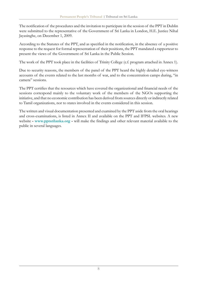The notification of the procedures and the invitation to participate in the session of the PPT in Dublin were submitted to the representative of the Government of Sri Lanka in London, H.E. Justice Nihal Jayasinghe, on December 1, 2009.

According to the Statutes of the PPT, and as specified in the notification, in the absence of a positive response to the request for formal representation of their positions, the PPT mandated a rapporteur to present the views of the Government of Sri Lanka in the Public Session.

The work of the PPT took place in the facilities of Trinity College (c.f. program attached in Annex 1).

Due to security reasons, the members of the panel of the PPT heard the highly detailed eye-witness accounts of the events related to the last months of war, and to the concentration camps during, "in camera" sessions.

The PPT certifies that the resources which have covered the organizational and financial needs of the sessions correspond mainly to the voluntary work of the members of the NGOs supporting the initiative, and that no economic contribution has been derived from sources directly or indirectly related to Tamil organizations, nor to states involved in the events considered in this session.

The written and visual documentation presented and examined by the PPT aside from the oral hearings and cross-examinations, is listed in Annex II and available on the PPT and IFPSL websites. A new website - www.pptsrilanka.org - will make the findings and other relevant material available to the public in several languages.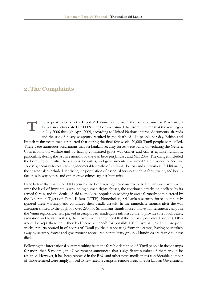# 2. The Complaints

he request to conduct a Peoples' Tribunal came from the Irish Forum for Peace in Sri Lanka, in a letter dated 19.11.09. The Forum claimed that from the time that the war began in July 2006 through April 2009, according to United Nations internal documents, air raids and the use of heavy weaponry resulted in the death of 116 people per day. British and French mainstream media reported that during the final few weeks 20,000 Tamil people were killed. There were numerous accusations that Sri Lankan security forces were guilty of violating the Geneva Conventions on warfare and of having committed gross war crimes and crimes against humanity, particularly during the last five months of the war, between January and May 2009. The charges included the bombing of civilian habitations, hospitals, and government-proclaimed 'safety zones' or 'no fire zones' by security forces, causing innumerable deaths of civilians, doctors and aid workers. Additionally, the charges also included depriving the population of essential services such as food, water, and health facilities in war zones, and other grave crimes against humanity. T

Even before the war ended, UN agencies had been voicing their concern to the Sri Lankan Government over the level of impunity surrounding human rights abuses, the continued attacks on civilians by its armed forces, and the denial of aid to the local population residing in areas formerly administered by the Liberation Tigers of Tamil Eelam (LTTE). Nonetheless, Sri Lankan security forces completely ignored these warnings and continued their deadly assault. In the immediate months after the war attention shifted to the plight of over 280,000 Sri Lankan Tamils forced to live in internment camps in the Vanni region. Densely packed in camps, with inadequate infrastructure to provide safe food, water, sanitation and health facilities, the Government announced that the internally displaced people (IDPs) would be kept there until they had been 'screened' for possible LTTE sympathies. In subsequent weeks, reports poured in of scores of Tamil youths disappearing from the camps, having been taken away by security forces and government-sponsored paramilitary groups. Hundreds are feared to have died.

Following the international outcry resulting from the forcible detention of Tamil people in these camps for more than 5 months, the Government announced that a significant number of them would be resettled. However, it has been reported in the BBC and other news media that a considerable number of those released were simply moved to new satellite camps in remote areas. The Sri Lankan Government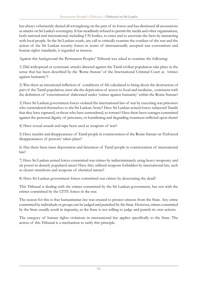has always vehemently denied all wrongdoing on the part of its forces and has dismissed all accusations as attacks on Sri Lanka's sovereignty. It has steadfastly refused to permit the media and other organisations, both national and international, including UN bodies, to enter and to ascertain the facts by interacting with local people. In the Sri Lankan south, any call to critically examine the conduct of the war and the action of the Sri Lankan security forces in terms of internationally accepted war conventions and human rights standards, is regarded as treason.

Against this background the Permanent Peoples' Tribunal was asked to examine the following:

1) Did widespread or systematic attacks directed against the Tamil civilian population take place in the sense that has been described by the 'Rome Statute' of the International Criminal Court as 'crimes against humanity'?

2) Was there an intentional infliction of conditions of life calculated to bring about the destruction of part of the Tamil population, inter alia the deprivation of access to food and medicine, consistent with the definition of 'extermination' elaborated under 'crimes against humanity' within the Rome Statute?

3) Have Sri Lankan government forces violated the international law of war by executing war prisoners who surrendered themselves to the Sri Lankan Army? Have Sri Lankan armed forces subjected Tamils that they have captured, or those who have surrendered, to torture? Have there been outrages committed against the personal dignity of prisoners, or humiliating and degrading treatment inflicted upon them?

4) Have sexual assault and rape been used as weapons of war?

5) Have murder and disappearance of Tamil people in contravention of the Rome Statute on 'Enforced disappearances of persons' taken place?

6) Has there been mass deportation and detention of Tamil people in contravention of international law?

7) Have Sri Lankan armed forces committed war crimes by indiscriminately using heavy weaponry and air power in densely populated areas? Have they utilized weapons forbidden by international law, such as cluster munitions and weapons of chemical nature?

8) Have Sri Lankan government forces committed war crimes by desecrating the dead?

This Tribunal is dealing with the crimes committed by the Sri Lankan government, but not with the crimes committed by the LTTE forces in the war.

The reason for this is that humanitarian law was created to protect citizens from the State. Any crime committed by individuals or groups can be judged and punished by the State. However, crimes committed by the State usually result in impunity, as the State is not willing to judge and punish its own actions.

The category of human rights violations in international law applies specifically to the State. The action of this Tribunal is a mechanism to ratify this principle.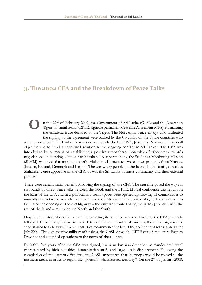# 3. The 2002 CFA and the Breakdown of Peace Talks

n the 22nd of February 2002, the Government of Sri Lanka (GoSL) and the Liberation Tigers of Tamil Eelam (LTTE) signed a permanent Ceasefire Agreement (CFA), formalizing the unilateral truce declared by the Tigers. The Norwegian peace envoys who facilitated the signing of the agreement were backed by the Co-chairs of the donor countries who were overseeing the Sri Lankan peace process, namely the EU, USA, Japan and Norway. The overall objective was to "find a negotiated solution to the ongoing conflict in Sri Lanka." The CFA was intended to be "a means of establishing a positive atmosphere upon which further steps towards negotiations on a lasting solution can be taken." A separate body, the Sri Lanka Monitoring Mission (SLMM), was created to monitor ceasefire violations. Its members were drawn primarily from Norway, Sweden, Finland, Denmark and Iceland. The war-weary people on the Island, both Tamils, as well as Sinhalese, were supportive of the CFA, as was the Sri Lanka business community and their external partners. O

There were certain initial benefits following the signing of the CFA. The ceasefire paved the way for six rounds of direct peace talks between the GoSL and the LTTE. Mutual confidence was rebuilt on the basis of the CFA and new political and social spaces were opened up allowing all communities to mutually interact with each other and to initiate a long delayed inter- ethnic dialogue. The ceasefire also facilitated the opening of the A-9 highway – the only land route linking the Jaffna peninsula with the rest of the Island – re-linking the North and the South.

Despite the historical significance of the ceasefire, its benefits were short lived as the CFA gradually fell apart. Even though the six rounds of talks achieved considerable success, the overall significance soon started to fade away. Limited hostilities recommenced in late 2005, and the conflict escalated after July 2006. Through massive military offensives, the GoSL drove the LTTE out of the entire Eastern Province and extended operations to the north of the country.

By 2007, five years after the CFA was signed, the situation was described as "undeclared war" characterized by high casualties, humanitarian strife and large- scale displacement. Following the completion of the eastern offensives, the GoSL announced that its troops would be moved to the northern areas, in order to regain the "guerrilla- administered territory". On the 2<sup>nd</sup> of January 2008,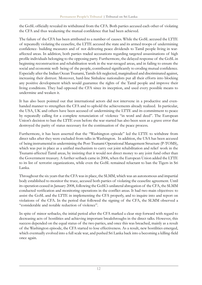the GoSL officially revealed its withdrawal from the CFA. Both parties accused each other of violating the CFA and thus weakening the mutual confidence that had been achieved.

The failure of the CFA has been attributed to a number of causes. While the GoSL accused the LTTE of repeatedly violating the ceasefire, the LTTE accused the state and its armed troops of undermining confidence- building measures and of not delivering peace dividends to Tamil people living in waraffected areas. In addition, both parties traded accusations regarding targeted assassinations of high profile individuals belonging to the opposing party. Furthermore, the delayed response of the GoSL in beginning reconstruction and rehabilitation work in the war-ravaged areas, and in failing to ensure the social and economic well- being of the people, contributed significantly to eroding mutual confidence. Especially after the Indian Ocean Tsunami, Tamils felt neglected, marginalized and discriminated against, increasing their distrust. Moreover, hard-line Sinhalese nationalists put all their efforts into blocking any positive development which would guarantee the rights of the Tamil people and improve their living conditions. They had opposed the CFA since its inception, and used every possible means to undermine and weaken it.

It has also been pointed out that international actors did not intervene in a productive and evenhanded manner to strengthen the CFA and to uphold the achievements already realized. In particular, the USA, UK and others have been accused of undermining the LTTE and its commitment to peace by repeatedly calling for a complete renunciation of violence "in word and deed". The European Union's decision to ban the LTTE even before the war started has also been seen as a grave error that destroyed the parity of status necessary for the continuation of the peace process.

Furthermore, it has been asserted that the "Washington episode" led the LTTE to withdraw from direct talks after they were excluded from talks in Washington. In addition, the USA has been accused of being instrumental in undermining the Post-Tsunami Operational Management Structure (P-TOMS), which was put in place as a unified mechanism to carry out joint rehabilitation and relief work in the Tsunami-affected Tamil areas, by insisting that it would not direct money to any joint fund other than the Government treasury. A further setback came in 2006, when the European Union added the LTTE to its list of terrorist organizations, while even the GoSL remained reluctant to ban the Tigers in Sri Lanka.

Throughout the six years that the CFA was in place, the SLMM, which was an autonomous and impartial body established to monitor the truce, accused both parties of violating the ceasefire agreement. Until its operation ceased in January 2008, following the GoSL's unilateral abrogation of the CFA, the SLMM conducted verification and monitoring operations in the conflict areas. It had two main objectives: to assist the GoSL and the LTTE in implementing the CFA properly, and to inquire into and report on violations of the CFA. In the period that followed the signing of the CFA, the SLMM observed a "considerable and notable reduction of violence".

In spite of minor setbacks, the initial period after the CFA marked a clear step forward with regard to decreasing acts of hostilities and achieving important breakthroughs in the direct talks. However, this success depended on the equal status of the two parties, and once this was breached, mainly as a result of the Washington episode, the CFA started to lose effectiveness. As a result, new hostilities emerged, which eventually evolved into a full scale war, and pushed Sri Lanka back into a becoming a killing-field once again.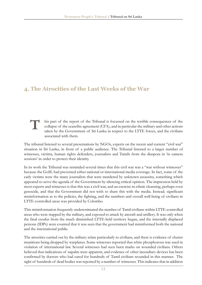# 4. The Atrocities of the Last Weeks of the War

#### his part of the report of the Tribunal is focussed on the terrible consequences of the collapse of the ceasefire agreement (CFA), and in particular the military and other actions taken by the Government of Sri Lanka in respect to the LTTE forces, and the civilians associated with them. T

The tribunal listened to several presentations by NGOs, experts on the recent and current "civil war" situation in Sri Lanka, in front of a public audience. The Tribunal listened to a larger number of witnesses, victims, human rights defenders, journalists and Tamils from the diaspora in 'in camera sessions' in order to protect their identity.

In its work the Tribunal was reminded several times that this civil war was a "war without witnesses" because the GoSL had prevented either national or international media coverage. In fact, some of the early victims were the many journalists that were murdered by unknown assassins, something which appeared to serve the agenda of the Government by silencing critical opinion. The impression held by most experts and witnesses is that this was a civil war, and an exercise in ethnic cleansing, perhaps even genocide, and that the Government did not wish to share this with the media. Instead, significant misinformation as to the policies, the fighting, and the numbers and overall well-being of civilians in LTTE-controlled areas was provided by Colombo.

This misinformation frequently underestimated the number of Tamil civilians within LTTE-controlled areas who were trapped by the military, and exposed to attack by aircraft and artillery. It was only when the final exodus from the much diminished LTTE-held territory began, and the internally displaced persons (IDPs) were counted that it was seen that the government had misinformed both the national and the international public.

The atrocities carried out by the military relate particularly to civilians, and there is evidence of cluster munitions being dropped by warplanes. Some witnesses reported that white phosphorous was used in violation of international law. Several witnesses had seen burn marks on wounded civilians. Others believed that indications of napalm were apparent, and evidence of other incendiary devices has been confirmed by doctors who had cared for hundreds of Tamil civilians wounded in this manner. The sight of hundreds of dead bodies was reported by a number of witnesses. This indicates that in addition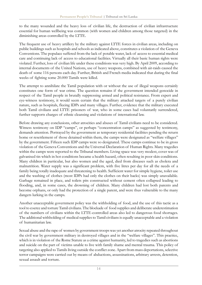to the many wounded and the heavy loss of civilian life, the destruction of civilian infrastructure essential for human wellbeing was common (with women and children among those targeted) in the diminishing areas controlled by the LTTE.

The frequent use of heavy artillery by the military against LTTE forces in civilian areas, including on public buildings such as hospitals and schools as indicated above, constitutes a violation of the Geneva Conventions. The populace suffered from the lack of potable water, lack of access to essential medical care and continuing lack of access to educational facilities. Virtually all their basic human rights were violated. Further, loss of civilian life under these conditions was very high. By April 2009, according to internal documents of the United Nations, use of heavy weapons, combined with air-raids caused the death of some 116 persons each day. Further, British and French media indicated that during the final weeks of fighting some 20.000 Tamils were killed.

The attempt to annihilate the Tamil population with or without the use of illegal weapons certainly constitutes one form of war crime. The question remains if the government intended genocide in respect of the Tamil people in brutally suppressing armed and political resistance. From expert and eye-witness testimony, it would seem certain that the military attacked targets of a purely civilian nature, such as hospitals, fleeing IDPs and many villages. Further, evidence that the military executed both Tamil civilians and LTTE prisoners of war, who in some cases had voluntarily surrendered, further supports charges of ethnic cleansing and violations of international law.

Before drawing any conclusions, other atrocities and abuses of Tamil civilians need to be considered. Witness testimony on IDP "camps", or perhaps "concentration camps" as suggested by testimony, demands attention. Portrayed by the government as temporary residential facilities pending the return home or resettlement of those detained within them, the camps were designated as "welfare villages" by the government. Fifteen such IDP camps were so designated. These camps continue to be in gross violation of the Geneva Conventions and the Universal Declaration of Human Rights. Many tragedies within the camps were reported to the Tribunal members. Living space was very modest, cover was of galvanised tin which in hot conditions became a health hazard, often resulting in poor skin conditions. Many children in particular, but also women and the aged, died from diseases such as cholera and malnutrition. Water supply was a significant problem, with five litres per day for all the needs of a family being totally inadequate and threatening to health. Sufficient water for simple hygiene, toilet use and the washing of clothes (most IDPs had only the clothes on their backs) was simply unavailable. Garbage remained in place, and toilets pits constructed without cement often collapsed leading to flooding, and, in some cases, the drowning of children. Many children had lost both parents and become orphans, or only had the protection of a single parent, and were thus vulnerable to the many dangers lurking in the camps.

Another unacceptable government policy was the withholding of food, and the use of this tactic as a tool to coerce and torture Tamil civilians. The blockade of food supplies and deliberate underestimation of the numbers of civilians within the LTTE-controlled areas also led to dangerous food shortages. The additional withholding of medical supplies to Tamil civilians is equally unacceptable and a violation of humanitarian law.

Sexual abuse and the rape of women by government troops was yet another atrocity repeated throughout the civil war by government military in destroyed villages and in the "welfare villages". This practice, which is in violation of the Rome Statute as a crime against humanity, led to tragedies such as abortions and suicide on the part of victims unable to live with family shame and mental trauma. This policy of targeting also applied to Tamils living outside the conflict zone. Apart from mass deportations, selective terror campaigns were carried out by means of abductions, assassinations, arbitrary arrests, detention, sexual assault and torture.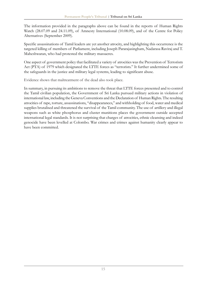The information provided in the paragraphs above can be found in the reports of Human Rights Watch (28.07.09 and 24.11.09), of Amnesty International (10.08.09), and of the Centre for Policy Alternatives (September 2009).

Specific assassinations of Tamil leaders are yet another atrocity, and highlighting this occurrence is the targeted killing of members of Parliament, including Joseph Pararajasingham, Nadarasa Raviraj and T. Maheshwaran, who had protested the military massacres.

One aspect of government policy that facilitated a variety of atrocities was the Prevention of Terrorism Act (PTA) of 1979 which designated the LTTE forces as "terrorists." It further undermined some of the safeguards in the justice and military legal systems, leading to significant abuse.

Evidence shows that maltreatment of the dead also took place.

In summary, in pursuing its ambitions to remove the threat that LTTE forces presented and to control the Tamil civilian population, the Government of Sri Lanka pursued military actions in violation of international law, including the Geneva Conventions and the Declaration of Human Rights. The resulting atrocities of rape, torture, assassinations, "disappearances," and withholding of food, water and medical supplies brutalised and threatened the survival of the Tamil community. The use of artillery and illegal weapons such as white phosphorus and cluster munitions places the government outside accepted international legal standards. It is not surprising that charges of atrocities, ethnic cleansing and indeed genocide have been levelled at Colombo. War crimes and crimes against humanity clearly appear to have been committed.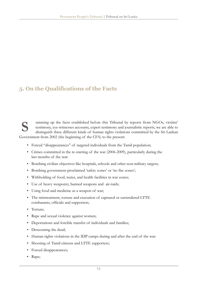# 5. On the Qualifications of the Facts

umming up the facts established before this Tribunal by reports from NGOs, victims' testimony, eye-witnesses accounts, expert testimony and journalistic reports, we are able to distinguish three different kinds of human rights violations committed by the Sri Lankan Government from 2002 (the beginning of the CFA) to the present: S

- Forced "disappearances" of targeted individuals from the Tamil population;
- Crimes committed in the re-starting of the war (2006-2009), particularly during the last months of the war:
- Bombing civilian objectives like hospitals, schools and other non-military targets;
- Bombing government-proclaimed 'safety zones' or 'no fire zones';
- Withholding of food, water, and health facilities in war zones;
- Use of heavy weaponry, banned weapons and air-raids;
- Using food and medicine as a weapon of war;
- The mistreatment, torture and execution of captured or surrendered LTTE combatants, officials and supporters;
- Torture;
- Rape and sexual violence against women;
- Deportations and forcible transfer of individuals and families;
- Desecrating the dead;
- Human rights violations in the IDP camps during and after the end of the war:
- Shooting of Tamil citizens and LTTE supporters;
- Forced disappearances;
- Rape;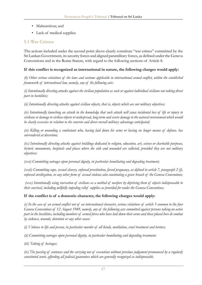- Malnutrition; and
- Lack of medical supplies.

#### 5.1 War Crimes

The actions included under the second point above clearly constitute "war crimes" committed by the Sri Lankan Government, its security forces and aligned paramilitary forces, as defined under the Geneva Conventions and in the Rome Statute, with regard to the following sections of Article 8.

#### If this conflict is recognized as international in nature, the following charges would apply:

(b) Other serious violations of the laws and customs applicable in international armed conflict, within the established framework of international law, namely, any of the following acts:

(i) Intentionally directing attacks against the civilian population as such or against individual civilians not taking direct part in hostilities;

(ii) Intentionally directing attacks against civilian objects, that is, objects which are not military objectives;

(iv) Intentionally launching an attack in the knowledge that such attack will cause incidental loss of life or injury to civilians or damage to civilian objects or widespread, long-term and severe damage to the natural environment which would be clearly excessive in relation to the concrete and direct overall military advantage anticipated;

(vi) Killing or wounding a combatant who, having laid down his arms or having no longer means of defence, has surrendered at discretion;

(ix) Intentionally directing attacks against buildings dedicated to religion, education, art, science or charitable purposes, historic monuments, hospitals and places where the sick and wounded are collected, provided they are not military objectives;

(xxi) Committing outrages upon personal dignity, in particular humiliating and degrading treatment;

(xxii) Committing rape, sexual slavery, enforced prostitution, forced pregnancy, as defined in article 7, paragraph 2 (f), enforced sterilization, or any other form of sexual violence also constituting a grave breach of the Geneva Conventions;

 (xxv) Intentionally using starvation of civilians as a method of warfare by depriving them of objects indispensable to their survival, including willfully impeding relief supplies as provided for under the Geneva Conventions;

#### If the conflict is of a domestic character, the following charges would apply:

(c) In the case of an armed conflict not of an international character, serious violations of article 3 common to the four Geneva Conventions of 12 August 1949, namely, any of the following acts committed against persons taking no active part in the hostilities, including members of armed forces who have laid down their arms and those placed hors de combat by sickness, wounds, detention or any other cause:

(i) Violence to life and person, in particular murder of all kinds, mutilation, cruel treatment and torture;

(ii) Committing outrages upon personal dignity, in particular humiliating and degrading treatment;

(iii) Taking of hostages;

(iv) The passing of sentences and the carrying out of executions without previous judgement pronounced by a regularly constituted court, affording all judicial guarantees which are generally recognized as indispensable.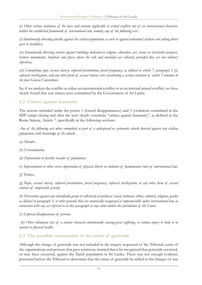(e) Other serious violations of the laws and customs applicable in armed conflicts not of an international character, within the established framework of international law, namely, any of the following acts:

(i) Intentionally directing attacks against the civilian population as such or against individual civilians not taking direct part in hostilities;

(iv) Intentionally directing attacks against buildings dedicated to religion, education, art, science or charitable purposes, historic monuments, hospitals and places where the sick and wounded are collected, provided they are not military objectives;

(vi) Committing rape, sexual slavery, enforced prostitution, forced pregnancy, as defined in article 7, paragraph 2 (f), enforced sterilization, and any other form of sexual violence also constituting a serious violation of article 3 common to the four Geneva Conventions.

So, if we analyze the conflict as either an international conflict or as an internal armed conflict, we have clearly found that war crimes were committed by the Government of Sri Lanka.

#### 5.2 Crimes against humanity

The actions included under the points 1 (forced disappearances) and 3 (violations committed in the IDP camps during and after the war) clearly constitute "crimes against humanity", as defined in the Rome Statute, Article 7, specifically in the following sections:

Any of the following acts when committed as part of a widespread or systematic attack directed against any civilian population, with knowledge of the attack:

- (a) Murder;
- (b) Extermination

(d) Deportation or forcible transfer of population;

(e) Imprisonment or other severe deprivation of physical liberty in violation of fundamental rules of international law;

(f) Torture;

(g) Rape, sexual slavery, enforced prostitution, forced pregnancy, enforced sterilization, or any other form of sexual violence of comparable gravity;

(h) Persecution against any identifiable group or collectivity on political, racial, national, ethnic, cultural, religious, gender as defined in paragraph 3, or other grounds that are universally recognized as impermissible under international law, in connection with any act referred to in this paragraph or any crime within the jurisdiction of the Court;

(i) Enforced disappearance of persons;

 (k) Other inhumane acts of a similar character intentionally causing great suffering, or serious injury to body or to mental or physical health.

#### 5.3 The possible commission of the crime of genocide

Although the charge of genocide was not included in the inquiry requested of the Tribunal, some of the organizations and persons that gave testimony insisted that it be recognized that genocide occurred, or may have occurred, against the Tamil population in Sri Lanka. There was not enough evidence presented before the Tribunal to determine that the crime of genocide be added to the charges of war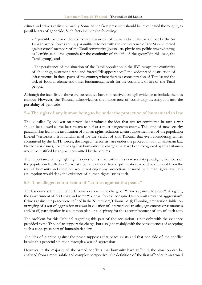crimes and crimes against humanity. Some of the facts presented should be investigated thoroughly, as possible acts of genocide. Such facts include the following:

- A possible pattern of forced "disappearances" of Tamil individuals carried out by the Sri Lankan armed forces and by paramilitary forces with the acquiescence of the State, directed against crucial members of the Tamil community (journalists, physicians, politicians) to destroy, as Lemkin said, "the grounds for the continuity of the life of the group"(in this case, the Tamil group); and

- The persistence of the situation of the Tamil population in the IDP camps; the continuity of shootings, systematic rape and forced "disappearances;" the widespread destruction of infrastructure in those parts of the country where there is a concentration of Tamils; and the lack of food, medicine and other fundamental needs for the continuity of life of the Tamil people.

Although the facts listed above are current, we have not received enough evidence to include them as charges. However, the Tribunal acknowledges the importance of continuing investigation into the possibility of genocide.

#### 5.4 The right of any human being to be under the protection of humanitarian law

The so-called "global war on terror" has produced the idea that any act committed in such a war should be allowed as the best means to defeat a most dangerous enemy. This kind of new security paradigm has led to the justification of human rights violations against those members of the population labeled "terrorists". It is fundamental for the verdict of this Tribunal that even considering crimes committed by the LTTE forces, the alleged "terrorists" are under the protection of humanitarian law. Neither war crimes, nor crimes against humanity (the charges that have been recognized by this Tribunal) would be justified by any act committed by the victims.

The importance of highlighting this question is that, within this new security paradigm, members of the population labelled as "terrorists", or any other extreme qualification, would be excluded from the rest of humanity and therefore would not enjoy any protections ensured by human rights law. This assumption would deny the existence of human rights law as such.

#### 5.5 The alleged commission of "crimes against the peace"

The last crime submitted to the Tribunal deals with the charge of "crimes against the peace". Allegedly, the Government of Sri Lanka and some "external forces" conspired to commit a "war of aggression". Crimes against the peace were defined in the Nuremberg Tribunal as: (i) Planning, preparation, initiation or waging of a war of aggression or a war in violation of international treaties, agreements or assurances and/or (ii) participation in a common plan or conspiracy for the accomplishment of any of such acts.

The problem for this Tribunal regarding this part of the accusation is not only with the evidence provided to the Tribunal to support the charge, but also (and mainly) with the consequences of accepting such a concept as part of humanitarian law.

The idea of a crime against the peace supposes that peace exists and that one side of the conflict breaks this peaceful situation through a war of aggression.

However, in the majority of the armed conflicts that humanity have suffered, the situation can be analysed from a more subtle and complex perspective. The definition of the first offender in an armed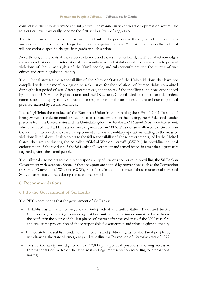conflict is difficult to determine and subjective. The manner in which years of oppression accumulate to a critical level may easily become the first act in a "war of aggression."

That is the case of the years of war within Sri Lanka. The perspective through which the conflict is analysed defines who may be charged with "crimes against the peace". That is the reason the Tribunal will not endorse specific charges in regards to such a crime.

Nevertheless, on the basis of the evidence obtained and the testimonies heard, the Tribunal acknowledges the responsibilities of the international community, inasmuch it did not take concrete steps to prevent violations of the human rights of the Tamil people, and subsequently omitted the pursuit of war crimes and crimes against humanity.

The Tribunal stresses the responsibility of the Member States of the United Nations that have not complied with their moral obligation to seek justice for the violations of human rights committed during the last period of war. After repeated pleas, and in spite of the appalling conditions experienced by Tamils, the UN Human Rights Council and the UN Security Council failed to establish an independent commission of inquiry to investigate those responsible for the atrocities committed due to political pressure exerted by certain Members.

It also highlights the conduct of the European Union in undermining the CFA of 2002. In spite of being aware of the detrimental consequences to a peace process in the making, the EU decided - under pressure from the United States and the United Kingdom - to list the TRM (Tamil Resistance Movement, which included the LTTE) as a terrorist organization in 2006. This decision allowed the Sri Lankan Government to breach the ceasefire agreement and re-start military operations leading to the massive violations listed above. It also points to the full responsibility of those governments, led by the United States, that are conducting the so-called "Global War on Terror" (GWOT) in providing political endorsement of the conduct of the Sri Lankan Government and armed forces in a war that is primarily targeted against the Tamil people.

The Tribunal also points to the direct responsibility of various countries in providing the Sri Lankan Government with weapons. Some of these weapons are banned by conventions such as the Convention on Certain Conventional Weapons (CCW), and others. In addition, some of those countries also trained Sri Lankan military forces during the ceasefire period.

#### 6. Recommendations

#### 6.1 To the Government of Sri Lanka

The PPT recommends that the government of Sri Lanka:

- Establish as a matter of urgency an independent and authoritative Truth and Justice Commission, to investigate crimes against humanity and war crimes committed by parties to the conflict in the course of the last phases of the war after the collapse of the 2002 ceasefire, and ensure the prosecution of those responsible for war crimes and crimes against humanity;
- Immediately re-establish fundamental freedoms and political rights for the Tamil people, by withdrawing the state of emergency and repealing the Prevention of Terrorism Act of 1979;
- Assure the safety and dignity of the 12,000 plus political prisoners, allowing access to International Committee of the Red Cross and legal representation according to international norms;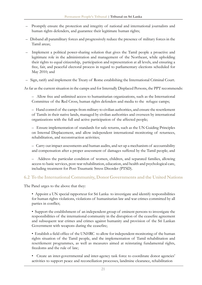- Promptly ensure the protection and integrity of national and international journalists and human rights defenders, and guarantee their legitimate human rights;
- Disband all paramilitary forces and progressively reduce the presence of military forces in the Tamil areas;
- Implement a political power-sharing solution that gives the Tamil people a proactive and legitimate role in the administration and management of the Northeast, while upholding their rights to equal citizenship, participation and representation at all levels, and ensuring a free, fair, and peaceful electoral process in regard to parliamentary elections scheduled for May 2010; and
- Sign, ratify and implement the Treaty of Rome establishing the International Criminal Court.

As far as the current situation in the camps and for Internally Displaced Persons, the PPT recommends:

– Allow free and unlimited access to humanitarian organizations, such as the International Committee of the Red Cross, human rights defenders and media to the refugee camps;

– Hand control of the camps from military to civilian authorities, and ensure the resettlement of Tamils in their native lands, managed by civilian authorities and overseen by international organizations with the full and active participation of the affected people;

– Ensure implementation of standards for safe returns, such as the UN Guiding Principles on Internal Displacement, and allow independent international monitoring of returnees, rehabilitation, and reconstruction activities;

– Carry out impact assessments and human audits, and set up a mechanism of accountability and compensation after a proper assessment of damages suffered by the Tamil people; and

– Address the particular condition of women, children, and separated families, allowing access to basic services, post-war rehabilitation, education, and health and psychological care, including treatment for Post-Traumatic Stress Disorder (PTSD).

#### 6.2 To the International Community, Donor Governments and the United Nations

The Panel urges to the above that they:

• Appoint a UN special rapporteur for Sri Lanka to investigate and identify responsibilities for human rights violations, violations of humanitarian law and war crimes committed by all parties in conflict;

• Support the establishment of an independent group of eminent persons to investigate the responsibilities of the international community in the disruption of the ceasefire agreement and subsequent war crimes and crimes against humanity and provision of the Sri Lankan Government with weapons during the ceasefire;

• Establish a field office of the UNHRC to allow for independent monitoring of the human rights situation of the Tamil people, and the implementation of Tamil rehabilitation and resettlement programmes, as well as measures aimed at reinstating fundamental rights, freedoms and the rule of law;

• Create an inter-governmental and inter-agency task force to coordinate donor agencies' activities to support peace and reconciliation processes, landmine clearance, rehabilitation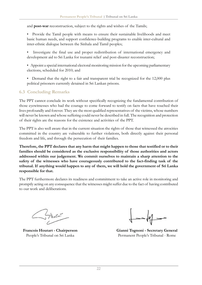and post-war reconstruction, subject to the rights and wishes of the Tamils;

• Provide the Tamil people with means to ensure their sustainable livelihoods and meet basic human needs, and support confidence-building programs to enable inter-cultural and inter-ethnic dialogue between the Sinhala and Tamil peoples;

• Investigate the final use and proper redistribution of international emergency and development aid to Sri Lanka for tsunami relief and post-disaster reconstruction;

• Appoint a special international electoral monitoring mission for the upcoming parliamentary elections, scheduled for 2010; and

• Demand that the right to a fair and transparent trial be recognized for the 12,000 plus political prisoners currently detained in Sri Lankan prisons.

#### 6.3 Concluding Remarks

The PPT cannot conclude its work without specifically recognizing the fundamental contribution of those eyewitnesses who had the courage to come forward to testify on facts that have touched their lives profoundly and forever. They are the most qualified representatives of the victims, whose numbers will never be known and whose suffering could never be described in full. The recognition and protection of their rights are the reasons for the existence and activities of the PPT.

The PPT is also well aware that in the current situation the rights of those that witnessed the atrocities committed in the country are vulnerable to further violations, both directly against their personal freedom and life, and through the persecution of their families.

Therefore, the PPT declares that any harm that might happen to those that testified or to their families should be considered as the exclusive responsibility of those authorities and actors addressed within our judgement. We commit ourselves to maintain a sharp attention to the safety of the witnesses who have courageously contributed to the fact-finding task of the tribunal. If anything would happen to any of them, we will hold the government of Sri Lanka responsible for that.

The PPT furthermore declares its readiness and commitment to take an active role in monitoring and promptly acting on any consequence that the witnesses might suffer due to the fact of having contributed to our work and deliberations.

Francois Houtart - Chairperson People's Tribunal on Sri Lanka

Gianni Tognoni - Secretary General Permanent People's Tribunal - Rome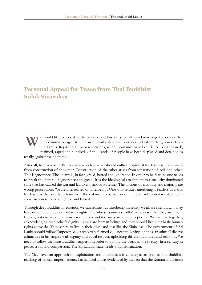# Personal Appeal for Peace from Thai Buddhist Sulak Sivaraksa

e would like to appeal to the Sinhala Buddhists first of all to acknowledge the crimes that they committed against their own Tamil sisters and brothers and ask for forgiveness from the Tamils. Rejoicing at the war victories, when thousands have been killed, 'disappeared', maimed, raped and hundreds of thousands of people have been displaced and detained, is totally against the dhamma. W

After all, forgiveness in Pali is apaya – no fear – we should cultivate spiritual fearlessness. Fear arises from construction of the other. Construction of the other arises from separation of self and other. This is ignorance. The enemy is, in fact, greed, hatred and ignorance. In order to be fearless one needs to break the fetters of ignorance and greed. It is the ideological attachment to a majority dominated state that has caused the war and led to enormous suffering. The notions of minority and majority are wrong perceptions. We are interrelated or 'interbeing'. One who realizes interbeing is fearless. It is this fearlessness that can help transform the colonial construction of the Sri Lankan unitary state. This construction is based on greed and hatred.

Through deep Buddhist meditation we can realize our interbeing. In reality we all are friends, who may have different ethnicities. But with right-mindfulness (sammâ smadhi), we can see that they are all our friends, not enemies. The words war heroes and terrorists are misconceptions. We can live together, acknowledging each other's dignity. Tamils are human beings and they should live their basic human rights as we do. They aspire to live in their own land just like the Sinhalese. The government of Sri Lanka should follow Emperor Asoka who transformed violence into loving kindness treating all diverse ethnicities in his empire with dignity and equal respect, upholding different cultures and religions. We need to follow the great Buddhist emperor in order to uphold the world in the twenty- first century in peace, truth and compassion. The Sri Lankan state needs a transformation.

The Machiavellian approach of exploitation and imperialism is coming to an end, as the Buddhist teaching of anicca, impermanency has implied and as evidenced by the fact that the Roman and British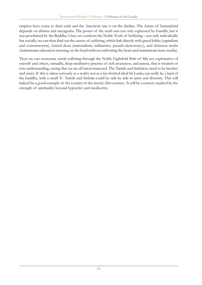empires have come to their ends and the American one is on the decline. The future of humankind depends on ahimsa and satyagraha. The power of the truth was not only expressed by Gandhi, but it was proclaimed by the Buddha. Once we confront the Noble Truth of Suffering – not only individually but socially; we can then find out the causes of suffering, which link directly with greed lobha (capitalism and consumerism), hatred dosa (nationalism, militarism, pseudo-democracy), and delusion moha (mainstream education stressing on the head without cultivating the heart and mainstream mass media).

Then we can overcome social suffering through the Noble Eightfold Path of Sila not exploitative of oneself and others, samadhi, deep meditative practice of self-awareness, and panna, that is wisdom or true understanding, seeing that we are all interconnected. The Tamils and Sinhalese need to be brother and sister. If this is taken seriously as a reality not as a far-fetched ideal Sri Lanka can really be a land of the buddha, with a small 'b'. Tamils and Sinhala could be side by side in unity and diversity. This will indeed be a good example of the country in the twenty-first century. It will be a century marked by the strength of spirituality beyond hypocrisy and mediocrity.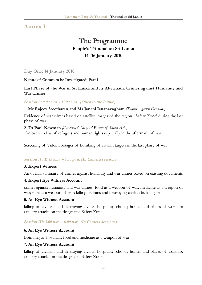## Annex I

# The Programme People's Tribunal on Sri Lanka 14 -16 January, 2010

Day One: 14 January 2010

Nature of Crimes to be Investigated: Part I

Last Phase of the War in Sri Lanka and its Aftermath: Crimes against Humanity and War Crimes

Session I : 9.00 a.m. - 11.00 a.m. (Open to the Public)

#### 1. Mr Rajeev Sreetharan and Ms Janani Jananayagham (Tamils Against Genocide)

Evidence of war crimes based on satellite images of the region ' Safety Zone' during the last phase of war

#### 2. Dr Paul Newman (Concerned Citizens' Forum of South Asia)

An overall view of refugees and human rights especially in the aftermath of war

Screening of Video Footages of bombing of civilian targets in the last phase of war

#### Session II : 11.15 a.m. – 1.30 p.m. (In Camera sessions)

#### 3. Expert Witness

An overall summary of crimes against humanity and war crimes based on existing documents

#### 4. Expert Eye Witness Account

crimes against humanity and war crimes; food as a weapon of war; medicine as a weapon of war; rape as a weapon of war; killing civilians and destroying civilian buildings etc

#### 5. An Eye Witness Account

killing of civilians and destroying civilian hospitals; schools; homes and places of worship; artillery attacks on the designated Safety Zone

#### Session III: 3.00 p.m. - 6.00 p.m. (In Camera sessions)

#### 6. An Eye Witness Account

Bombing of hospitals, food and medicine as a weapon of war

#### 7. An Eye Witness Account

killing of civilians and destroying civilian hospitals; schools; homes and places of worship; artillery attacks on the designated Safety Zone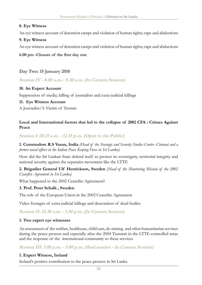#### 8. Eye Witness

An eye witness account of detention camps and violation of human rights; rape and abductions

#### 9. Eye Witness

An eye witness account of detention camps and violation of human rights; rape and abductions

6.00 pm -Closure of the first day one

#### Day Two: 15 January 2010

Session IV - 8.00 a.m.– 9.30 a.m. (In Camera Session)

#### 10. An Expert Account

Suppression of media; killing of journalists and extra-judicial killings

#### 11. Eye Witness Account

A Journalist/A Victim of Torture

#### Local and International factors that led to the collapse of 2002 CFA : Crimes Against Peace

#### Session I :10.15 a.m. - 12.15 p.m. (Open to the Public)

1. Commodore R.S Vasan, India (Head of the Strategic and Security Studies Centre- Chennai and a former naval officer in the Indian Peace Keeping Force in Sri Lanka)

How did the Sri Lankan State defend itself to protect its sovereignty, territorial integrity and national security against the separatist movement like the LTTE

2. Brigadier General Ulf Henrickson, Sweden (Head of the Monitoring Mission of the 2002 Ceasefire Agreement in Sri Lanka)

What happened to the 2002 Ceasefire Agreement?

#### 3. Prof. Peter Schalk , Sweden

The role of the European Union in the 2002 Ceasefire Agreement

Video footages of extra-judicial killings and desecration of dead bodies

Session II: 12.30 a.m. - 1.30 p.m. (In Camera Session)

#### 1. Two expert eye witnesses

An assessment of the welfare, healthcare, child care, de-mining and other humanitarian services during the peace process and especially after the 2004 Tusnami in the LTTE-controlled areas and the response of the international community to these services

Session III: 3.00 p.m. - 5.00 p.m. (final session - In Camera Session)

#### 1. Expert Witness, Ireland

Ireland's positive contribution to the peace process in Sri Lanka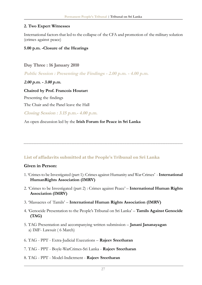#### 2. Two Expert Witnesses

International factors that led to the collapse of the CFA and promotion of the military solution (crimes against peace)

#### 5.00 p.m. -Closure of the Hearings

Day Three : 16 January 2010

Public Session : Presenting the Findings - 2.00 p.m. - 4.00 p.m.

#### 2.00 p.m. - 3.00 p.m.

Chaired by Prof. Francois Houtart

Presenting the findings

The Chair and the Panel leave the Hall

Closing Session : 3.15 p.m.- 4.00 p.m.

An open discussion led by the Irish Forum for Peace in Sri Lanka

............................................................................................................................................................

#### List of affadavits submitted at the People's Tribunal on Sri Lanka

#### Given in Person:

- 1. 'Crimes to be Investigated (part 1): Crimes against Humanity and War Crimes' **International** HumanRights Association (IMRV)
- 2. 'Crimes to be Investigated (part 2) : Crimes against Peace' International Human Rights Association (IMRV)
- 3. 'Massacres of Tamils' International Human Rights Association (IMRV)
- 4. 'Genocide Presentation to the People's Tribunal on Sri Lanka' Tamils Against Genocide (TAG)
- 5. TAG Presentation and accompanying written submission Janani Jananayagan a) IMF- Lawsuit ( 6 March)
- 6. TAG PPT Extra-Judicial Executions Rajeev Sreetharan
- 7. TAG PPT Boyle-WarCrimes-Sri Lanka Rajeev Sreetharan
- 8. TAG PPT Model-Indictment Rajeev Sreetharan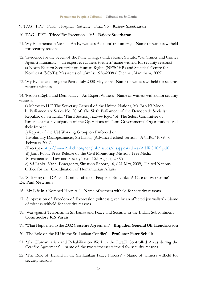- 9. TAG PPT PTK Hospital Sattelite Final V5 Rajeev Sreetharan
- 10. TAG PPT TrincoFiveExecution V5 Rajeev Sreetharan
- 11. 'My Experience in Vanni An Eyewitness Account' (in camera) Name of witness witheld for security reasons
- 12. 'Evidence for the Seven of the Nine Charges under Rome Statute: War Crimes and Crimes Against Humanity' – an expert eyewitness (witness' name witheld for security reasons) a) North Eastern Secretariat on Human Rights (NESOHR) and Statstical Centre for Northeast (SCNE): Massacres of Tamils: 1956-2008 ( Chennai, Manitham, 2009)
- 13. 'My Evidence during the Period July 2008-May 2009 Name of witness witheld for security reasons witness

14. 'People's Rights and Democracy – An Expert Witness - Name of witness witheld for security reasons.

a) Memo to H.E.The Secretary General of the United Nations, Mr. Ban Ki Moon

 b) Parliamentary Series No. 20 of The Sixth Parliament of the Democratic Socialist Republic of Sri Lanka (Third Session), Interim Report of The Select Committee of Parliament for investigation of the Operations of Non-Governmental Organizations and

their Impact.

c) Report of the UN Working Group on Enforced or

 Involuntary Disappearances, Sri Lanka, (Advanced edited version - A/HRC/10/9 - 6 February 2009)

(Excerpt - http://www2.ohchr.org/english/issues/disappear/docs/A.HRC.10.9.pdf)

d) Joint Public Press Release of the Civil Monitoring Mission, Free Media

Movement and Law and Society Trust ( 23 August, 2007)

e) Sri Lanka: Vanni Emergency, Situation Report, 16, ( 21 May, 2009), United Nations Office for the Coordination of Humanitarian Affairs

15. 'Suffering of IDPs and Conflict-affected People in Sri Lanka: A Case of War Crime' – Dr. Paul Newman

- 16. 'My Life in a Bombed Hospital' Name of witness witheld for security reasons
- 17. 'Suppression of Freedom of Expression (witness given by an affected journalist)' Name of witness witheld for security reasons
- 18. 'War against Terrorism in Sri Lanka and Peace and Security in the Indian Subcontinent' Commodore R.S Vasan
- 19. 'What Happened to the 2002 Ceasefire Agreement' Brigadier General Ulf Hendriksson
- 20. 'The Role of the EU in the Sri Lankan Conflict' Professor Peter Schalk
- 21. 'The Humanitarian and Rehabilitation Work in the LTTE Controlled Areas during the Ceasfire Agreement' - name of the two witnesses witheld for security reasons
- 22. 'The Role of Ireland in the Sri Lankan Peace Process' Name of witness witheld for security reasons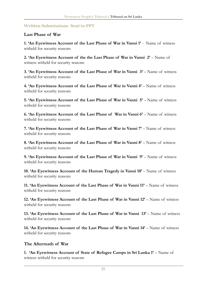#### Written Submissions Sent to PPT

#### Last Phase of War

1. 'An Eyewitness Account of the Last Phase of War in Vanni 1' - Name of witness witheld for security reasons

2. 'An Eyewitness Account of the the Last Phase of War in Vanni 2' – Name of witness witheld for security reasons

3. 'An Eyewitness Account of the Last Phase of War in Vanni 3' – Name of witness witheld for security reasons

4. 'An Eyewitness Account of the Last Phase of War in Vanni 4' – Name of witness witheld for security reasons

5. 'An Eyewitness Account of the Last Phase of War in Vanni 5' – Name of witness witheld for security reasons

6. 'An Eyewitness Account of the Last Phase of War in Vanni  $6'$  – Name of witness witheld for security reasons

7. 'An Eyewitness Account of the Last Phase of War in Vanni 7' – Name of witness witheld for security reasons

8. 'An Eyewitness Account of the Last Phase of War in Vanni 8' – Name of witness witheld for security reasons

9. 'An Eyewitness Account of the Last Phase of War in Vanni 9' – Name of witness witheld for security reasons

10. 'An Eyewitness Account of the Human Tragedy in Vanni 10' – Name of witness witheld for security reasons

11. 'An Eyewitness Account of the Last Phase of War in Vanni 11' – Name of witness witheld for security reasons

12. 'An Eyewitness Account of the Last Phase of War in Vanni 12' – Name of witness witheld for security reasons

13. 'An Eyewitness Account of the Last Phase of War in Vanni 13' – Name of witness witheld for security reasons

14. 'An Eyewitness Account of the Last Phase of War in Vanni 14' – Name of witness witheld for security reasons

#### The Aftermath of War

1. 'An Eyewitness Account of State of Refugee Camps in Sri Lanka 1' – Name of witness witheld for security reasons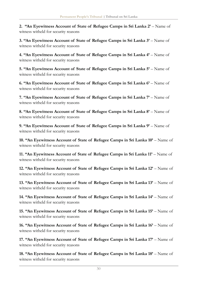2. "An Eyewitness Account of State of Refugee Camps in Sri Lanka 2' – Name of witness witheld for security reasons

3. "An Eyewitness Account of State of Refugee Camps in Sri Lanka 3' - Name of witness witheld for security reasons

4. "An Eyewitness Account of State of Refugee Camps in Sri Lanka 4' – Name of witness witheld for security reasons

5. "An Eyewitness Account of State of Refugee Camps in Sri Lanka 5' – Name of witness witheld for security reasons

6. ''An Eyewitness Account of State of Refugee Camps in Sri Lanka 6' – Name of witness witheld for security reasons

7. "An Eyewitness Account of State of Refugee Camps in Sri Lanka 7' - Name of witness witheld for security reasons

8. ''An Eyewitness Account of State of Refugee Camps in Sri Lanka 8' – Name of witness witheld for security reasons

9. "An Eyewitness Account of State of Refugee Camps in Sri Lanka 9' – Name of witness witheld for security reasons

10. ''An Eyewitness Account of State of Refugee Camps in Sri Lanka 10' – Name of witness witheld for security reasons

11. ''An Eyewitness Account of State of Refugee Camps in Sri Lanka 11' – Name of witness witheld for security reasons

12. "An Eyewitness Account of State of Refugee Camps in Sri Lanka 12' - Name of witness witheld for security reasons

13. "An Eyewitness Account of State of Refugee Camps in Sri Lanka 13' – Name of witness witheld for security reasons

14. "An Eyewitness Account of State of Refugee Camps in Sri Lanka 14' - Name of witness witheld for security reasons

15. "An Eyewitness Account of State of Refugee Camps in Sri Lanka 15' – Name of witness witheld for security reasons

16. ''An Eyewitness Account of State of Refugee Camps in Sri Lanka 16' – Name of witness witheld for security reasons

17. "An Eyewitness Account of State of Refugee Camps in Sri Lanka 17' – Name of witness witheld for security reasons

18. ''An Eyewitness Account of State of Refugee Camps in Sri Lanka 18' – Name of witness witheld for security reasons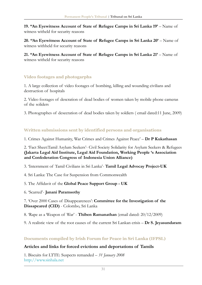19. ''An Eyewitness Account of State of Refugee Camps in Sri Lanka 19' – Name of witness witheld for security reasons

20. "An Eyewitness Account of State of Refugee Camps in Sri Lanka 20' - Name of witness withheld for security reasons

21. ''An Eyewitness Account of State of Refugee Camps in Sri Lanka 21' – Name of witness witheld for security reasons

#### Video footages and photogarphs

1. A large collection of video footages of bombing, killing and wounding civilians and destruction of hospitals

2. Video footages of descration of dead bodies of women taken by mobile phone cameras of the soliders

3. Photographes of desecration of dead bodies taken by soldiers ( email dated:11 June, 2009)

#### Written submissions sent by identified persons and organisations

1. Crimes Against Humanity, War Crimes and Crimes Against Peace' – Dr P Kukathasan

2. 'Fact Sheet:Tamil Asylum Seekers'- Civil Society Solidarity for Asylum Seekers & Refugees (Jakarta Legal Aid Institute, Legal Aid Foundation, Working People 's Association and Confederation Congress of Indonesia Union Alliance)

3. 'Internment of Tamil Civilians in Sri Lanka'- Tamil Legal Advocay Project-UK

4. Sri Lanka: The Case for Suspension from Commonwealth

5. The Affidavit of the Global Peace Support Group - UK

6. 'Scarred'- Janani Paramsothy

7. 'Over 2000 Cases of Disappearences': Committee for the Investigation of the Dissapeared (CID) - Colombo, Sri Lanka

8. 'Rape as a Weapon of War' - Thiben Ramanathan (email dated: 20/12/2009)

9. A realistic view of the root causes of the current Sri Lankan crisis – Dr S. Jeyasundaram

#### Documents compiled by Irish Forum for Peace in Sri Lanka (IFPSL)

#### Articles and links for forced evictions and deportations of Tamils

1. Biscuits for LTTE: Suspects remanded – 31 January 2008 http://www.sinhala.net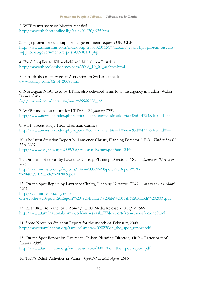2. WFP wants story on biscuits rectified. http://www.thebottomline.lk/2008/01/30/B35.htm

3. High protein biscuits supplied at government request: UNICEF http://www.slmuslims.com/index.php/200802011517/Local-News/High-protein-biscuitssupplied-at-government-request-UNICEF.php

4. Food Supplies to Kilinochchi and Mullaittivu Districts http://www.thecolombotimes.com/2008\_10\_01\_archive.html

5. Is truth also military gear? A question to Sri Lanka media. www.lakmag.com/02-01-2008.html

6. Norwegian NGO used by LTTE, also delivered arms to an insurgency in Sudan -Walter Jayawardana http://www.defence.lk/new.asp?fname=20080728\_02

7. WFP food packs meant for LTTE? - 28 January 2008 http://www.news.lk/index.php?option=com\_content&task=view&id=4724&Itemid=44

8. WFP biscuit story: Trico Chairman clarifies http://www.news.lk/index.php?option=com\_content&task=view&id=4735&Itemid=44

10. The latest Situation Report by Lawrence Christy, Planning Director, TRO - Updated on 02 May 2009 http://www.sangam.org/2009/05/Enclave\_Report.pdf?uid=3460

11. On the spot report by Lawrence Christy, Planning Director, TRO - Updated on 04 March 2009

http://vannimission.org/reports/On%20the%20Spot%20Report%20- %204th%20March,%202009.pdf

12. On the Spot Report by Lawrence Christy, Planning Director, TRO - Updated on 11 March 2009.

http://vannimission.org/reports

On%20the%20Spot%20Report%20%20Bunker%20life%2011th%20March%202009.pdf

13. REPORT from the 'Safe Zone' / TRO Media Release - 25 April 2009 http://www.tamilnational.com/world-news/asia/774-report-from-the-safe-zone.html

14. Some Notes on Situation Report for the month of February, 2009. http://www.tamilnation.org/tamileelam/tro/090220on\_the\_spot\_report.pdf

15. On the Spot Report by Lawrence Christy, Planning Director, TRO – Latter part of January, 2009.

http://www.tamilnation.org/tamileelam/tro/090120on\_the\_spot\_report.pdf

16. TRO's Relief Activities in Vanni - Updated on 26th April, 2009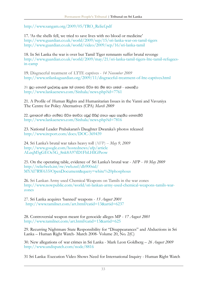http://www.sangam.org/2009/05/TRO\_Relief.pdf

17. 'As the shells fell, we tried to save lives with no blood or medicine' http://www.guardian.co.uk/world/2009/sep/15/sri-lanka-war-on-tamil-tigers http://www.guardian.co.uk/world/video/2009/sep/16/sri-lanka-tamil

18. In Sri Lanka the war is over but Tamil Tiger remnants suffer brutal revenge http://www.guardian.co.uk/world/2009/may/21/sri-lanka-tamil-tigers-ltte-tamil-refugeesin-camp

19. Disgraceful treatment of LTTE captives - 14 November 2009 http://www.srilankaguardian.org/2009/11/disgraceful-treatment-of-ltte-captives.html

 $20.$  මුදා නොගත් පුදේශවල ලසෂ 3ක් ජනතාව සිටින බව කීම මවා පෑමක් - කෙහෙළිය http://www.lankaenews.com/Sinhala/news.php?id=7761

21. A Profile of Human Rights and Humanitarian Issues in the Vanni and Vavuniya The Centre for Policy Alternatives (CPA) March 2009

 $22$ . පුභාකරන් බේරා ගැනීමට සිටින මහවිරු පවුල් සිවිල් ජනයා ලෙස සැළකිය නොහැකියි http://www.lankaenews.com/Sinhala/news.php?id=7816

23. National Leader Prabakaran's Daughter Dwaraka's photos released http://www.ireport.com/docs/DOC-369439

24. Sri Lanka's brutal war takes heavy toll  $(AFP) - May \, 9$ , 2009 http://www.google.com/hostednews/afp/article ALeqM5gGEOc5G\_8nk8A97fD1FbLHIGPeow

25. On the operating table, evidence of Sri Lanka's brutal war - AFP - 10 May 2009 http://reliefweb.int/rw/rwb.nsf/db900sid/ MYAI7RW633?OpenDocument&query=white%20phosphous

26. Sri Lankan Army used Chemical Weapons on Tamils in the war zones http://www.nowpublic.com/world/sri-lankan-army-used-chemical-weapons-tamils-warzones

27. Sri Lanka acquires 'banned' weapons - 13 August 2001 http://www.tamilnet.com/art.html?catid=13&artid=6237

28. Controversial weapon meant for genocide alleges MP - 17 August 2001 http://www.tamilnet.com/art.html?catid=13&artid=625

29. Recurring Nightmare State Responsibility for "Disappearances" and Abductions in Sri Lanka – Human Right Watch- March 2008- Volume 20, No. 2(C)

30. New allegations of war crimes in Sri Lanka - Mark Leon Goldberg – 26 August 2009 http://www.undispatch.com/node/8816

31 Sri Lanka: Execution Video Shows Need for International Inquiry - Human Right Watch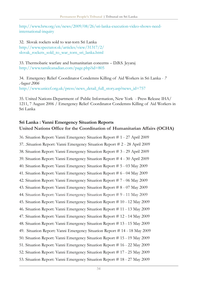http://www.hrw.org/en/news/2009/08/26/sri-lanka-execution-video-shows-needinternational-inquiry

32. Slovak rockets sold to war-torn Sri Lanka http://www.spectator.sk/articles/view/31317/2/ slovak\_rockets\_sold\_to\_war\_torn\_sri\_lanka.html

33. Thermobaric warfare and humanitarian concerns – D.B.S. Jeyaraj http://www.tamilcanadian.com/page.php?id=805

34. Emergency Relief Coordinator Condemns Killing of Aid Workers in Sri Lanka - 7 August 2006 http://www.unicef.org.uk/press/news\_detail\_full\_story.asp?news\_id=757

35. United Nations-Department of Public Information, New York - Press Release IHA/ 1211, 7 August 2006 / Emergency Relief Coordinator Condemns Killing of Aid Workers in Sri Lanka

#### Sri Lanka : Vanni Emergency Situation Reports United Nations Office for the Coordination of Humanitarian Affairs (OCHA)

36. Situation Report: Vanni Emergency Situation Report # 1 - 27 April 2009 37. .Situation Report: Vanni Emergency Situation Report # 2 - 28 April 2009 38. Situation Report: Vanni Emergency Situation Report # 3 - 29 April 2009 39. Situation Report: Vanni Emergency Situation Report # 4 - 30 April 2009 40. Situation Report: Vanni Emergency Situation Report # 5 - 03 May 2009 41. Situation Report: Vanni Emergency Situation Report # 6 - 04 May 2009 42. Situation Report: Vanni Emergency Situation Report # 7 - 06 May 2009 43. Situation Report: Vanni Emergency Situation Report # 8 - 07 May 2009 44. Situation Report: Vanni Emergency Situation Report # 9 - 11 May 2009 45. Situation Report: Vanni Emergency Situation Report # 10 - 12 May 2009 46. Situation Report: Vanni Emergency Situation Report # 11 - 13 May 2009 47. Situation Report: Vanni Emergency Situation Report # 12 - 14 May 2009 48. Situation Report: Vanni Emergency Situation Report # 13 - 15 May 2009 49. Situation Report: Vanni Emergency Situation Report # 14 - 18 May 2009 50. Situation Report: Vanni Emergency Situation Report # 15 - 19 May 2009 51. Situation Report: Vanni Emergency Situation Report # 16 - 22 May 2009 52. Situation Report: Vanni Emergency Situation Report # 17 - 25 May 2009 53. Situation Report: Vanni Emergency Situation Report # 18 - 27 May 2009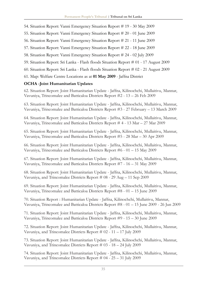- 54. Situation Report: Vanni Emergency Situation Report # 19 30 May 2009
- 55. Situation Report: Vanni Emergency Situation Report # 20 01 June 2009
- 56. Situation Report: Vanni Emergency Situation Report # 21 11 June 2009
- 57. Situation Report: Vanni Emergency Situation Report # 22 18 June 2009
- 58. Situation Report: Vanni Emergency Situation Report # 24 02 July 2009
- 59. Situation Report: Sri Lanka Flash floods Situation Report # 01 17 August 2009
- 60. Situation Report: Sri Lanka Flash floods Situation Report # 02 21 August 2009
- 61. Map: Welfare Centre Locations as at 01 May 2009 Jaffna District

#### OCHA -Joint Humanitarian Updates

62. Situation Report: Joint Humanitarian Update - Jaffna, Kilinochchi, Mullaitivu, Mannar, Vavuniya, Trincomalee and Batticaloa Districts Report #2 - 13 – 26 Feb 2009

63. Situation Report: Joint Humanitarian Update - Jaffna, Kilinochchi, Mullaitivu, Mannar, Vavuniya, Trincomalee and Batticaloa Districts Report #3 - 27 February – 13 March 2009

64. Situation Report: Joint Humanitarian Update - Jaffna, Kilinochchi, Mullaitivu, Mannar, Vavuniya, Trincomalee and Batticaloa Districts Report # 4 - 13 Mar – 27 Mar 2009

65. Situation Report: Joint Humanitarian Update - Jaffna, Kilinochchi, Mullaitivu, Mannar, Vavuniya, Trincomalee and Batticaloa Districts Report #5 - 28 Mar – 30 Apr 2009

66. Situation Report: Joint Humanitarian Update - Jaffna, Kilinochchi, Mullaitivu, Mannar, Vavuniya, Trincomalee and Batticaloa Districts Report #6 - 01 – 15 May 2009

67. Situation Report: Joint Humanitarian Update - Jaffna, Kilinochchi, Mullaitivu, Mannar, Vavuniya, Trincomalee and Batticaloa Districts Report #7 - 16 – 31 May 2009

68. Situation Report: Joint Humanitarian Update - Jaffna, Kilinochchi, Mullaitivu, Mannar, Vavuniya, and Trincomalee Districts Report # 08 - 29 Aug – 11 Sep 2009

69. Situation Report: Joint Humanitarian Update - Jaffna, Kilinochchi, Mullaitivu, Mannar, Vavuniya, Trincomalee and Batticaloa Districts Report #8 - 01 – 15 June 2009

70. Situation Report : Humanitarian Update - Jaffna, Kilinochchi, Mullaitivu, Mannar, Vavuniya, Trincomalee and Batticaloa Districts Report #8 - 01 – 15 June 2009 - 26 Jun 2009

71. Situation Report: Joint Humanitarian Update - Jaffna, Kilinochchi, Mullaitivu, Mannar, Vavuniya, Trincomalee and Batticaloa Districts Report #9 - 15 – 30 June 2009

72. Situation Report: Joint Humanitarian Update - Jaffna, Kilinochchi, Mullaitivu, Mannar, Vavuniya, and Trincomalee Districts Report  $\#$  02 - 11 - 17 July 2009

73. Situation Report: Joint Humanitarian Update - Jaffna, Kilinochchi, Mullaitivu, Mannar, Vavuniya, and Trincomalee Districts Report # 03 - 18 – 24 July 2009

74. Situation Report: Joint Humanitarian Update - Jaffna, Kilinochchi, Mullaitivu, Mannar, Vavuniya, and Trincomalee Districts Report # 04 - 25 – 31 July 2009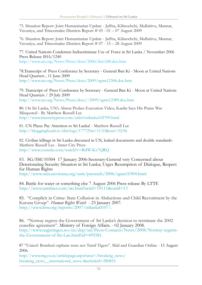75. Situation Report: Joint Humanitarian Update - Jaffna, Kilinochchi, Mullaitivu, Mannar, Vavuniya, and Trincomalee Districts Report  $\#$  05 - 01 - 07 August 2009

76. Situation Report: Joint Humanitarian Update - Jaffna, Kilinochchi, Mullaitivu, Mannar, Vavuniya, and Trincomalee Districts Report # 07 - 15 – 28 August 2009

77. United Nations Condemns Indiscriminate Use of Force in Sri Lanka / November 2006 Press Release IHA/1240 http://www.un.org/News/Press/docs/2006/iha1240.doc.htm

78.Transcript of Press Conference by Secretary - General Ban Ki - Moon at United Nations Head Quarters , 11 June 2009 http://www.un.org/News/Press/docs/2009/sgsm12306.doc.htm

79. Transcript of Press Conference by Secretary - General Ban Ki - Moon at United Nations Head Quarters / 29 July 2009 http://www.un.org/News/Press/docs//2009/sgsm12389.doc.htm

80. On Sri Lanka, UN's Alston Probes Execution Video, Kaelin Says His Praise Was Misquoted - By Matthew Russell Lee http://www.innercitypress.com/unhr1srilanka102709.html

81. UN Plaza: Pay Attention to Sri Lanka! - Matthew Russell Lee http://bloggingheads.tv/diavlogs/17772?in=11:33&out=32:56

82. Civilian killings in Sri Lanka discussed in UN, leaked documents and double standards-Matthew Russell Lee - Inner City Press http://www.youtube.com/watch?v=RtIW-Kx7QRQ

83. SG/SM/10304 17 January 2006-Secretary-General very Concerned about Deteriorating Security Situation in Sri Lanka; Urges Resumption of Dialogue, Respect for Human Rights http://www.unis.unvienna.org/unis/pressrels/2006/sgsm10304.html

84. Battle for water or something else 7 August 2006 Press release By LTTE http://www.tamilnet.com/art.html?artid=19111&catid=13

85. "Complicit in Crime: State Collusion in Abductions and Child Recruitment by the Karuna Group". Human Rights Watch - 23 January 2007. http://www.hrw.org/reports/2007/srilanka0107/.

86. "Norway regrets the Government of Sri Lanka's decision to terminate the 2002 ceasefire agreement". Ministry of Foreign Affairs. - 02 January 2008. http://www.regjeringen.no/en/dep/ud/Press-Contacts/News/2008/Norway-regretsthe-Government-of-Sri-Lan.html?id=495581.

87 "Unicef: Bombed orphans were not Tamil Tigers". Mail and Guardian Online - 15 August 2006.

http://www.mg.co.za/articlepage.aspx?area=/breaking\_news/ breaking\_news\_international\_news/&articleid=280855.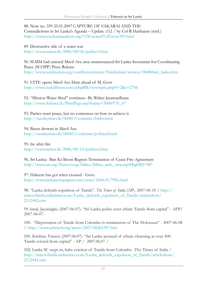88. Note no. 359 25.01.2007 CAPTURE OF VAKARAI AND THE Contradictions in Sri Lanka's Agenda – Update :112 / by Col R Hariharan (retd.) http://www.southasiaanalysis.org/%5Cnotes4%5Cnote359.html

89. Destructive tide of a water war http://www.nation.lk/2006/08/06/politics3.htm

90. SLMM had entered Mavil Aru area unannounced-Sri Lanka Secretariat for Coordinating Peace (SCOPP) Press Release http://www.tamilnation.org/conflictresolution/Tamileelam/norway/060806sri\_lanka.htm

91. LTTE opens Mavil Aru Dam ahead of SL Govt http://www.lankalibrary.com/phpBB/viewtopic.php?f=2&t=2756

92. "Mission Water Shed" continues -By Walter Jayawardhana http://www.defence.lk/PrintPage.asp?fname=20060731\_07

93. Parties want peace, but no consensus on how to achieve it http://sundaytimes.lk/060813/columns/lobby.html

94. Bauer drowns in Mavil Aru http://sundaytimes.lk/060813/columns/political.html

95. Ire after fire http://www.nation.lk/2006/08/13/politics2.htm

96. Sri Lanka: Ban Ki-Moon Regrets Termination of Cease Fire Agreement http://www.un.org/News/ossg/hilites/hilites\_arch\_view.asp?HighID=987

97. Hakeem has got wires crossed - Govt. http://www.lankanewspapers.com/news/2006/8/7996.html

98. "Lanka defends expulsion of Tamils". The Times of India (AP). 2007-06-10 / http:// timesofindia.indiatimes.com/Lanka\_defends\_expulsion\_of\_Tamils/articleshow/ 2112442.cms

99.Amal, Jayasinghe (2007-06-07). "Sri Lanka police evict ethnic Tamils from capital" - AFP/ 2007-06-07.

100. "Deportation of Tamils from Colombo is reminiscent of The Holocaust" - 2007-06-08 / http://www.achrweb.org/press/2007/SLK0307.htm

101. Krishan, Francis (2007.06.07). "Sri Lanka accused of ethnic cleansing as over 400 Tamils evicted from capital" - AP / 2007.06.07 /

102. Lanka SC steps in, halts eviction of Tamils from Colombo -The Times of India / http://timesofindia.indiatimes.com/Lanka\_defends\_expulsion\_of\_Tamils/articleshow/ 2112442.cms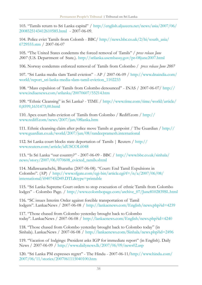103. "Tamils return to Sri Lanka capital" / http://english.aljazeera.net/news/asia/2007/06/ 2008525143412610585.html - 2007-06-09.

104. Police evict Tamils from Colomb - BBC/ http://news.bbc.co.uk/2/hi/south\_asia/ 6729555.stm / 2007-06-07

105. "The United States condemns the forced removal of Tamils" / press release June 2007 (U.S. Department of State.). http://srilanka.usembassy.gov/pr-08june2007.html

106. Norway condemns enforced removal of Tamils from Colombo / press release June 2007

107. "Sri Lanka media slam Tamil eviction" - AP / 2007-06-09 / http://www.dnaindia.com/ world/report\_sri-lanka-media-slam-tamil-eviction\_1102233

108. "Mass expulsion of Tamils from Colombo denounced" - INAS / 2007-06-07/ http:// www.indiaenews.com/srilanka/20070607/55214.htm

109. "Ethnic Cleansing" in Sri Lanka? - TIME / http://www.time.com/time/world/article/ 0,8599,1631473,00.html

110. Apex court halts eviction of Tamils from Colombo / Rediff.com / http:// www.rediff.com/news/2007/jun/08lanka.htm

111. Ethnic cleansing claim after police move Tamils at gunpoint / The Guardian / http:// www.guardian.co.uk/world/2007/jun/08/randeepramesh.international

112. Sri Lanka court blocks state deportation of Tamils | Reuters / http:// www.reuters.com/article/idUSCOL6048

113. "Is Sri Lanka "our country?" - 2007-06-09 - BBC / http://www.bbc.co.uk/sinhala/ news/story/2007/06/070608\_evicted\_tamils.shtml

114. Mallawaarachchi, Bharatha (2007-06-08). "Court: End Tamil Expulsions in Colombo". (AP) / http://www.sfgate.com/cgi-bin/article.cgi?f=/n/a/2007/06/08/ international/i040745D49.DTL&type=printable

115. "Sri Lanka Supreme Court orders to stop evacuation of ethnic Tamils from Colombo lodges" - Colombo Page. / http://www.colombopage.com/archive\_07/June8102839SL.html

116. "SC issues Interim Order against forcible transportation of Tamil lodgers". LankaeNews / 2007-06-08 / http://lankaenews.com/English/news.php?id=4239

117. "Those chased from Colombo yesterday brought back to Colombo today". LankaeNews / 2007-06-08 / http://lankaenews.com/English/news.php?id=4240

118. "Those chased from Colombo yesterday brought back to Colombo today" (in Sinhala). LankaeNews / 2007-06-08 / http://lankaenews.com/Sinhala/news.php?id=2496

119. "Vacation of lodgings: President asks IGP for immediate report" (in English). Daily News / 2007-06-09 / http://www.dailynews.lk/2007/06/09/news02.asp

120. "Sri Lanka PM expresses regret" - The Hindu - 2007-06-11/http://www.hindu.com/ 2007/06/11/stories/2007061115040100.htm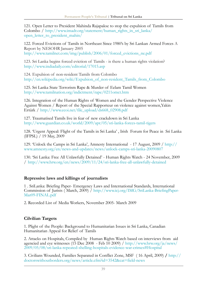121. Open Letter to President Mahinda Rajapakse to stop the expulsion of Tamils from Colombo / http://www.imadr.org/statement/human\_rights\_in\_sri\_lanka/ open\_letter\_to\_president\_mahin/

122. Forced Evictions of Tamils in Northeast Since 1980's by Sri Lankan Armed Forces A Report by NESOHR January 2005 http://www.tamilnet.com/img/publish/2006/01/forced\_evictions\_ne.pdf

123. Sri Lanka begins forced eviction of Tamils - is there a human rights violation? http://www.indiadaily.com/editorial/17015.asp

124. Expulsion of non-resident Tamils from Colombo http://en.wikipedia.org/wiki/Expulsion\_of\_non-resident\_Tamils\_from\_Colombo

125. Sri Lanka State Terrorism Rape & Murder of Eelam Tamil Women http://www.tamilnation.org/indictment/rape/0211omct.htm

126. Integration of the Human Rights of Women and the Gender Perspective Violence Against Women / Report of the Special Rapporteur on violence against women,Yakin Ertürk / http://www.ecoi.net/file\_upload/ds668\_02908.pdf

127. Traumatised Tamils live in fear of new crackdown in Sri Lanka http://www.guardian.co.uk/world/2009/apr/05/sri-lanka-forces-tamil-tigers

128. 'Urgent Appeal: Flight of the Tamils in Sri Lanka' , Irish Forum for Peace in Sri Lanka (IFPSL) / 19 May, 2009

129. 'Unlock the Camps in Sri Lanka', Amnesty International - 17 August, 2009 / http:// www.amnesty.org/en/news-and-updates/news/unlock-camps-sri-lanka-20090807

130. 'Sri Lanka: Free All Unlawfully Detained' - Human Rights Watch - 24 November, 2009 / http://www.hrw.org/en/news/2009/11/24/sri-lanka-free-all-unlawfully-detained

#### Repressive laws and killings of journalists

1 . SriLanka: Briefing Paper- Emergency Laws and International Standards, International Commission of Jurists ( March, 2009) / http://www.icj.org/IMG/SriLanka-BriefingPaper-Mar09-FINAL.pdf

2. Recorded List of Media Workers, November 2005- March 2009

#### Cilvilian Targets

1. Plight of the People: Background to Humanitarian Issues in Sri Lanka, Canadian Humanitarian Appeal for Relief of Tamils

2. Attacks on Hospitals, Compiled by Human Rights Watch based on interviews from aid agencied and eye witnesses (15 Dec 2008 - Feb 10 2009) / http://www.hrw.org/ja/news/ 2009/05/08/sri-lanka-repeated-shelling-hospitals-evidence-war-crimes#Hospital

3. Civilians Wounded, Families Separated in Conflict Zone, MSF ( 16 April, 2009) / http:// doctorswithoutborders.org/news/article.cfm?id=3542&cat=field-news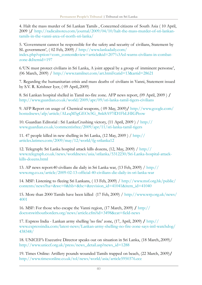4. Halt the mass murder of Sri Lankan Tamils , Concerned citizens of South Asia ( 10 April, 2009 )/ http://radicalnotes.com/journal/2009/04/10/halt-the-mass-murder-of-sri-lankantamils-in-the-vanni-area-of-north-sri-lanka/

5. 'Government cannot be responsible for the safety and security of civilians, Statement by SL government', ( 02 Feb, 2009) / http://www.lankadaily.com/ index.php?option=com\_content&view=article&id=207%3Asl-warns-civilians-in-combatzone-&Itemid=197

6.'UN must protect civilians in Sri Lanka, A joint appeal by a group of imminent personse', (06 March, 2009) / http://www.tamilnet.com/art.html?catid=13&artid=28621

7. Regarding the humanitarian crisis and mass deaths of civilians in Vanni, Statement issued by S.V. R. Krishner Iyer, ( 09 April,.2009)

8. Sri Lankan hospital shelled in Tamil no-fire zone. AFP news report, (09 April, 2009 ) / http://www.guardian.co.uk/world/2009/apr/09/sri-lanka-tamil-tigers-civilians

9. AFP Report on usage of Chemical weapons, ( 09 May, 2009)/ http://www.google.com/ hostednews/afp/article/ALeqM5gGEOc5G\_8nk8A97fD1FbLHIGPeow

10. Guardian Editorial : Sri Lanka:Crushing victory, (11 April, 2009 ) / http:// www.guardian.co.uk/commentisfree/2009/apr/11/sri-lanka-tamil-tigers

11. 47 people killed in new shelling in Sri Lanka, (12 May, 2009 ) / http:// articles.latimes.com/2009/may/12/world/fg-srilanka12

12. Telegraph: Sri Lanka hospital attack kills dozens, (12, May, 2009) / http:// www.telegraph.co.uk/news/worldnews/asia/srilanka/5312230/Sri-Lanka-hospital-attackkills-dozens.html

13. AP news report:40 civilians die daily in Sri Lanka war, (13 Feb, 2009) / http:// www.mg.co.za/article/2009-02-13-official-40-civilians-die-daily-in-sri-lanka-war

14. MSF: Listening to fleeing Sri Lankans, ( 13 Feb, 2009) / http://www.msf.org.hk/public/ contents/news?ha=&wc=0&hb=&hc=&revision\_id=41041&item\_id=41040

15. More than 2000 Tamils have been killed (17 Feb, 2009) / http://www.wrp.org.uk/news/ 4001

16. MSF: For those who escape the Vanni region, (17 March, 2009) / http:// doctorswithoutborders.org/news/article.cfm?id=3498&cat=field-news

17. Express India - Lankan army shelling 'no fire' zone, (17, April, 2009) / http:// www.expressindia.com/latest-news/Lankan-army-shelling-no-fire-zone-says-intl-watchdog/ 438348/

18. UNICEF's Executive Director speaks out on situation in Sri Lanka, (18 March,.2009)/ http://www.unicef.org.uk/press/news\_detail.asp?news\_id=1288

19. Times Online: Artillery pounds wounded Tamils trapped on beach, (22 March, 2009)/ http://www.timesonline.co.uk/tol/news/world/asia/article5950376.ece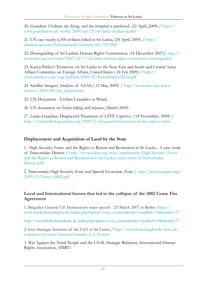20. Guardian: Civilians are dying, and the hospital is paralysed, (22 April,.2009) / http:// www.guardian.co.uk/world/2009/apr/22/sri-lanka-civilian-deaths

21. UN says nearly 6,500 civilians killed in Sri Lanka, (24 April, 2009) / http:// abcnews.go.com/International/wireStory?id=7417282

22. Downgrading of Sri Lankan Human Rights Commission, (18 December 2007)/ http:// www.hrw.org/en/news/2007/12/17/sri-lanka-human-rights-commission-downgraded

23. Karen Parker's Testimony on Sri Lanka to the Near East and South and Central Asian Affairs Committee on Foreign Affairs, United States ( 24 Feb 2009) / http:// www.tamilnet.com/img/publish/2009/02/KarenParker22Feb.pdf

24. Satellite Imagery Analysis of AAAS, ( 12 May, 2009) / http://www.aaas.org/news/ releases/2009/0812sri\_lanka.shtml

25. UN Document - Civilian Casualties in Wanni

26. UN document on Vanni killing and injuries, (March 2009)

27. Lanka Guardian: Disgraceful Treatment of LTTE Captives, ( 14 November, 2009) / http://www.srilankaguardian.org/2009/11/disgraceful-treatment-of-ltte-captives.html

#### Displacement and Acquisition of Land by the State

1. High Security Zones and the Rights to Return and Restitution in Sri Lanka - A case study of Trincomalee District / http://www.cohre.org/store/attachments/High Security Zones and the Rights to Return and Restitution in Sri Lanka-a case study of Trincomalee District.pdf

2. Trincomalee High Security Zone and Special Economic Zone / http://www.sangam.org/ 2009/12/Trinco\_HSZ.pdf

#### Local and International factors that led to the collapse of the 2002 Cease Fire Agreement

1. Brigadier General Ulf Henricsson's main speech - 23 March 2007 in Berlin /http:// www.friedenfuersrilanka.de/index.php?option=com\_content&task=view&id=15&itemid=27

http://www.friedenfuersrilanka.de index.php?option=com\_content&task=view&id=19&Itemid=27

2. Geo Strategic Interests of the USA in Sri Lanka / http://www.humanrights.de/doc\_de/ countries/sri-lanka/sivaram/sivaram\_4\_d\_hi.wmv

3. War Against the Tamil People and the US-SL Strategic Relations, International Human Rights Association, (IMRV)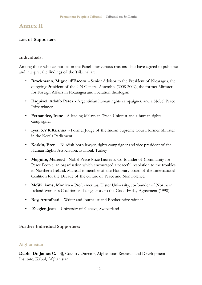## Annex II

#### List of Supporters

#### Individuals:

Among those who cannot be on the Panel - for various reasons - but have agreed to publicise and interpret the findings of the Tribunal are:

- Brockmann, Miguel d'Escoto Senior Advisor to the President of Nicaragua, the outgoing President of the UN General Assembly (2008-2009), the former Minister for Foreign Affairs in Nicaragua and liberation theologian
- Esquivel, Adolfo Pérez Argentinian human rights campaigner, and a Nobel Peace Prize winner
- Fernandez, Irene A leading Malaysian Trade Unionist and a human rights campaigner
- Iyer, S.V.R.Krishna Former Judge of the Indian Supreme Court, former Minister in the Kerala Parliament
- Keskin, Eren Kurdish-born lawyer, rights campaigner and vice president of the Human Rights Association, Istanbul, Turkey.
- **Maguire, Mairead -** Nobel Peace Prize Laureate. Co-founder of Community for Peace People, an organisation which encouraged a peaceful resolution to the troubles in Northern Ireland. Mairead is member of the Honorary board of the International Coalition for the Decade of the culture of Peace and Nonviolence.
- McWilliams, Monica Prof. emeritus, Ulster University, co-founder of Northern Ireland Women's Coalition and a signatory to the Good Friday Agreement (1998)
- Roy, Arundhati Writer and Journalist and Booker prize-winner
- Ziegler, Jean University of Geneva, Switzerland

#### Further Individual Supporters:

#### Afghanistan

Dabhi, Dr. James C. - SJ, Country Director, Afghanistan Research and Development Institute, Kabul, Afghanistan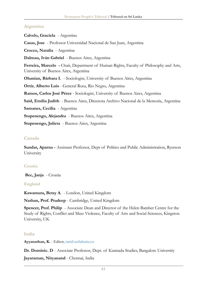#### Argentina

Calvelo, Graciela - Argentina Casas, Jose - Professor Universidad Nacional de San Juan, Argentina Crocco, Natalia - Argentina Dalmau, Iván Gabriel - Buenos Aires, Argentina Ferreira, Marcelo - Chair, Department of Human Rights, Faculty of Philosophy and Arts, University of Buenos Aires, Argentina Ohanian, Bárbara I. - Sociologist, University of Buenos Aires, Argentina Ortiz, Alberto Luis - General Roca, Rio Negro, Argentina Ramos, Carlos José Pérez - Sociologist, University of Buenos Aires, Argentina Said, Emilia Judith - Buenos Aires, Directora Archivo Nacional de la Memoria, Argentina Samanes, Cecilia - Argentina Stupenengo, Alejandra - Buenos Aires, Argentina Stupenengo, Julieta - Buenos Aires, Argentina

#### Canada

Sundar, Aparna - Assistant Professor, Dept of Politics and Public Administration, Ryerson University

#### **Croatia**

Bec, Janja - Croatia

#### England

Kawamura, Betsy A. - London, United Kingdom

Nathan, Prof. Pradeep - Cambridge, United Kingdom

Spencer, Prof. Philip - Associate Dean and Director of the Helen Bamber Centre for the Study of Rights, Conflict and Mass Violence, Faculty of Arts and Social Sciences, Kingston University, UK

#### India

Ayyanathan, K. - Editor, tamil.webdunia.co

Dr. Dominic. D - Associate Professor, Dept. of Kannada Studies, Bangalore University Jayaraman, Nityanand - Chennai, India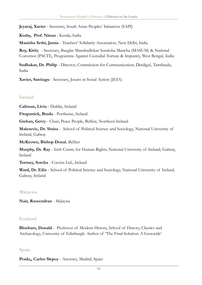Jeyaraj, Xavier - Secretary, South Asian Peoples' Initiatives (SAPI)

Koshy, Prof. Ninan - Kerala, India

Manisha Sethi, Jamia - Teachers' Solidarity Association, New Delhi, India

Roy, Kirity - Secretary, Banglar Manabadhikar Suraksha Mancha (MASUM) & National Convenor (PACTI), Programme Against Custodial Torture & Impunity, West Bengal, India

Sudhakar, Dr. Philip - Director, Commission for Communication, Dindigul, Tamilnadu, India

Xavier, Santiagu - Secretary, Jesuits in Social Action (JESA)

#### Ireland

Caliman, Liviu - Dublin, Ireland

Fitzpatrick, Breda - Portlaoise, Ireland

Grehan, Gerry - Chair, Peace People, Belfast, Northern Ireland

Malesevic, Dr. Sinisa - School of Political Science and Sociology, National University of Ireland, Galway

McKeown, Bishop Donal, Belfast

Murphy, Dr. Ray - Irish Centre for Human Rights, National University of Ireland, Galway, Ireland

Tormey, Sorcha - Coexist Ltd., Ireland

Ward, Dr. Eilís - School of Political Science and Sociology, National University of Ireland, Galway, Ireland

#### Malaysia

Nair, Raveendran - Malaysia

#### Scotland

Bloxham, Donald - Professor of Modern History, School of History, Classics and Archaeology, University of Edinburgh. Author of 'The Final Solution: A Genocide'

#### Spain

Prada,, Carlos Slepoy - Attorney, Madrid, Spain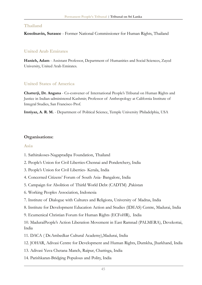#### Thailand

Kosolnavin, Surasee - Former National Commissioner for Human Rights, Thailand

#### United Arab Emirates

Hanieh, Adam - Assistant Professor, Department of Humanities and Social Sciences, Zayed University, United Arab Emirates.

#### United States of America

Chatterji, Dr. Angana - Co-convener of International People's Tribunal on Human Rights and Justice in Indian-administered Kashmir; Professor of Anthropology at California Institute of Integral Studies, San Francisco Prof.

Imtiyaz, A. R. M. - Department of Political Science, Temple University Philadelphia, USA

#### Organisations:

#### Asia

- 1. Sathirakoses-Nagapradipa Foundation, Thailand
- 2. People's Union for Civil Liberties-Chennai and Ponderchery, India
- 3. People's Union for Civil Liberties- Kerala, India
- 4. Concerned Citizens' Forum of South Asia- Bangalore, India
- 5. Campaign for Abolition of Thirld World Debt (CADTM) ,Pakistan
- 6. Working Peoples Association, Indonesia
- 7. Institute of Dialogue with Cultures and Religions, University of Madras, India
- 8. Institute for Development Education Action and Studies (IDEAS) Centre, Madurai, India
- 9. Ecumenical Christian Forum for Human Rights (ECFoHR), India

10. MaduraiPeople's Action Liberation Movement in East Ramnad (PALMERA), Devekottai, India

- 11. DACA ( Dr.Ambedkar Cultural Academy),Madurai, India
- 12. JOHAR, Adivasi Centre for Development and Human Rights, Dumkha, Jharkhand, India
- 13. Adivasi Yuva Chetana Manch, Raipur, Chattisga, India
- 14. Parishkaran-Bridging Populous and Polity, India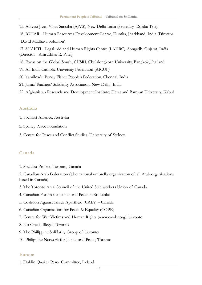- 15. Adivasi Jivan Vikas Sanstha (AJVS), New Delhi India (Secretary- Rojalia Tete)
- 16. JOHAR Human Resources Development Centre, Dumka, Jharkhand, India (Director
- -David Madhava Solomon)

17. SHAKTI - Legal Aid and Human Rights Centre (LAHRC), Songadh, Gujarat, India (Director - Amrutbhai R. Patel)

18. Focus on the Global South, CUSRI, Chulalongkorn University, Bangkok,Thailand

- 19. All India Catholic University Federation (AICUF)
- 20. Tamilnadu Pondy Fisher People's Federation, Chennai, India
- 21. Jamia Teachers' Solidarity Association, New Delhi, India
- 22. Afghanistan Research and Development Institute, Herat and Bamyan University, Kabul

#### Australia

- 1, Socialist Alliance, Australia
- 2, Sydney Peace Foundation
- 3. Centre for Peace and Conflict Studies, University of Sydney.

#### Canada

1. Socialist Project, Toronto, Canada

2. Canadian Arab Federation (The national umbrella organization of all Arab organizations based in Canada)

- 3. The Toronto Area Council of the United Steelworkers Union of Canada
- 4. Canadian Forum for Justice and Peace in Sri Lanka
- 5. Coalition Against Israeli Apartheid (CAIA) Canada
- 6. Canadian Organisation for Peace & Equality (COPE)
- 7. Centre for War Victims and Human Rights (www.cwvhr.org), Toronto
- 8. No One is Illegal, Toronto
- 9. The Philippine Solidarity Group of Toronto
- 10. Philippine Network for Justice and Peace, Toronto

#### Europe

1. Dublin Quaker Peace Committee, Ireland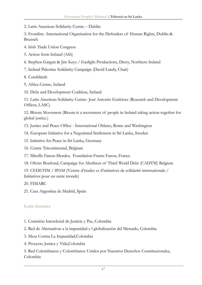2. Latin American Solidarity Centre – Dublin

3. Frontline- International Organisation for the Defenders of Human Rights, Dublin & Brussels

- 4. Irish Trade Union Congress
- 5. Action from Ireland (Afri)
- 6. Stephen Gargan & Jim Keys / Gaslight Productions, Derry, Northern Ireland
- 7. Ireland Palestine Solidarity Campaign (David Landy, Chair)
- 8. Comhlámh
- 9. Africa Centre, Ireland
- 10. Debt and Development Coalition, Ireland

11. Latin American Solidarity Centre- José Antonio Gutiérrez (Research and Development Officer, LASC)

12. Bloom Movement (Bloom is a movement of people in Ireland taking action together for global justice.)

- 13. Justice and Peace Office International Oblates, Rome and Washington
- 14. European Initiative for a Negotiated Settlement in Sri Lanka, Sweden
- 15. Initiative for Peace in Sri Lanka, Germany
- 16. Centre Tricontinental, Belgium
- 17. Mireille Fanon-Mendes, Foundation Frantz Fanon, France
- 18. Olivier Bonfond, Campaign for Abolition of Third World Debt (CADTM) Belgium

19. CEDETIM / IPAM ('Centre d'études et d'initiatives de solidarité internationale / Initiatives pour un autre monde)

20. FIMARC

21. Casa Argentina de Madrid, Spain

#### Latin America

- 1. Comisiòn Interclesial de Justicia y Paz, Colombia
- 2. Red de Alternativas a la impunidad y l globalizaciòn del Mercado, Colombia
- 3. Mesa Contra La Impunidad,Colombia
- 4. Proyecto Justica y Vida,Colombia

5. Red Colombianos y Colombianos Unidos por Nuestros Derechos Constitucionales, Colombia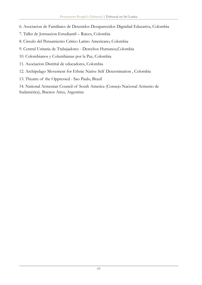- 6. Asociacion de Familiares de Detenidos Desaparecidos Dignidad Educativa, Colombia
- 7. Taller de Jormacion Estudiantil Raices, Colombia
- 8. Circulo del Pensamiento Critico Latino Americano, Colombia
- 9. Central Unitaria de Ttabajadores Derechos Humanos,Colombia
- 10. Colombianos y Columbianas por la Paz, Colombia
- 11. Asociacion Distrital de educadores, Colombia
- 12. Archipelago Movement for Ethnic Native Self Determination , Colombia
- 13. Theatre of the Oppressed Sao Paulo, Brazil

14. National Armenian Council of South America (Consejo Nacional Armenio de Sudamérica), Buenos Aires, Argentina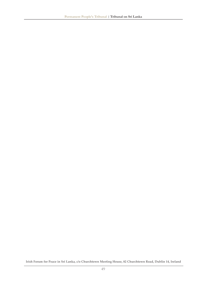Irish Forum for Peace in Sri Lanka, c/o Churchtown Meeting House, 82 Churchtown Road, Dublin 14, Ireland